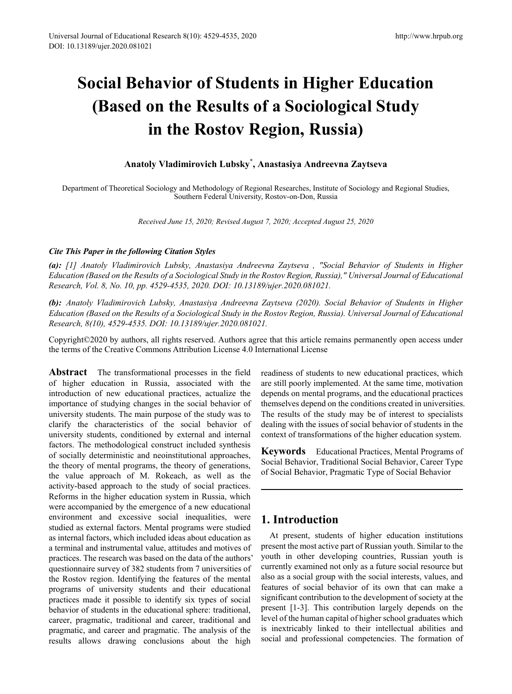# **Social Behavior of Students in Higher Education (Based on the Results of a Sociological Study in the Rostov Region, Russia)**

#### **Anatoly Vladimirovich Lubsky\* , Anastasiya Andreevna Zaytseva**

Department of Theoretical Sociology and Methodology of Regional Researches, Institute of Sociology and Regional Studies, Southern Federal University, Rostov-on-Don, Russia

*Received June 15, 2020; Revised August 7, 2020; Accepted August 25, 2020*

#### *Cite This Paper in the following Citation Styles*

*(a): [1] Anatoly Vladimirovich Lubsky, Anastasiya Andreevna Zaytseva , "Social Behavior of Students in Higher Education (Based on the Results of a Sociological Study in the Rostov Region, Russia)," Universal Journal of Educational Research, Vol. 8, No. 10, pp. 4529-4535, 2020. DOI: 10.13189/ujer.2020.081021.* 

*(b): Anatoly Vladimirovich Lubsky, Anastasiya Andreevna Zaytseva (2020). Social Behavior of Students in Higher Education (Based on the Results of a Sociological Study in the Rostov Region, Russia). Universal Journal of Educational Research, 8(10), 4529-4535. DOI: 10.13189/ujer.2020.081021.* 

Copyright©2020 by authors, all rights reserved. Authors agree that this article remains permanently open access under the terms of the Creative Commons Attribution License 4.0 International License

**Abstract** The transformational processes in the field of higher education in Russia, associated with the introduction of new educational practices, actualize the importance of studying changes in the social behavior of university students. The main purpose of the study was to clarify the characteristics of the social behavior of university students, conditioned by external and internal factors. The methodological construct included synthesis of socially deterministic and neoinstitutional approaches, the theory of mental programs, the theory of generations, the value approach of M. Rokeach, as well as the activity-based approach to the study of social practices. Reforms in the higher education system in Russia, which were accompanied by the emergence of a new educational environment and excessive social inequalities, were studied as external factors. Mental programs were studied as internal factors, which included ideas about education as a terminal and instrumental value, attitudes and motives of practices. The research was based on the data of the authors' questionnaire survey of 382 students from 7 universities of the Rostov region. Identifying the features of the mental programs of university students and their educational practices made it possible to identify six types of social behavior of students in the educational sphere: traditional, career, pragmatic, traditional and career, traditional and pragmatic, and career and pragmatic. The analysis of the results allows drawing conclusions about the high

readiness of students to new educational practices, which are still poorly implemented. At the same time, motivation depends on mental programs, and the educational practices themselves depend on the conditions created in universities. The results of the study may be of interest to specialists dealing with the issues of social behavior of students in the context of transformations of the higher education system.

**Keywords** Educational Practices, Mental Programs of Social Behavior, Traditional Social Behavior, Career Type of Social Behavior, Pragmatic Type of Social Behavior

### **1. Introduction**

At present, students of higher education institutions present the most active part of Russian youth. Similar to the youth in other developing countries, Russian youth is currently examined not only as a future social resource but also as a social group with the social interests, values, and features of social behavior of its own that can make a significant contribution to the development of society at the present [1-3]. This contribution largely depends on the level of the human capital of higher school graduates which is inextricably linked to their intellectual abilities and social and professional competencies. The formation of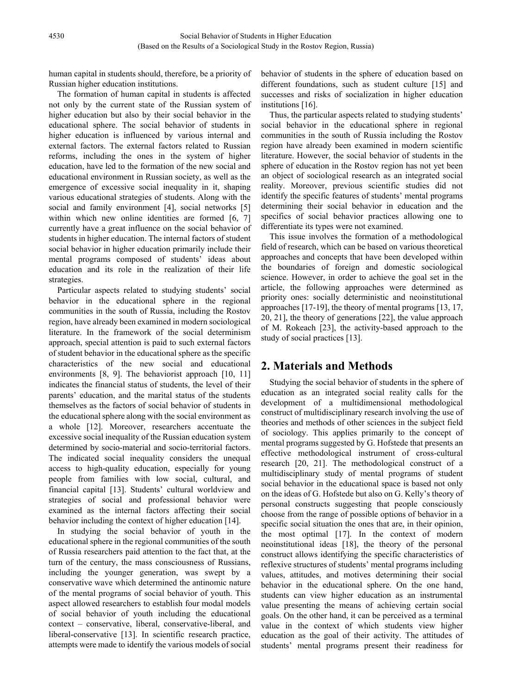human capital in students should, therefore, be a priority of Russian higher education institutions.

The formation of human capital in students is affected not only by the current state of the Russian system of higher education but also by their social behavior in the educational sphere. The social behavior of students in higher education is influenced by various internal and external factors. The external factors related to Russian reforms, including the ones in the system of higher education, have led to the formation of the new social and educational environment in Russian society, as well as the emergence of excessive social inequality in it, shaping various educational strategies of students. Along with the social and family environment [4], social networks [5] within which new online identities are formed [6, 7] currently have a great influence on the social behavior of students in higher education. The internal factors of student social behavior in higher education primarily include their mental programs composed of students' ideas about education and its role in the realization of their life strategies.

Particular aspects related to studying students' social behavior in the educational sphere in the regional communities in the south of Russia, including the Rostov region, have already been examined in modern sociological literature. In the framework of the social determinism approach, special attention is paid to such external factors of student behavior in the educational sphere as the specific characteristics of the new social and educational environments [8, 9]. The behaviorist approach [10, 11] indicates the financial status of students, the level of their parents' education, and the marital status of the students themselves as the factors of social behavior of students in the educational sphere along with the social environment as a whole [12]. Moreover, researchers accentuate the excessive social inequality of the Russian education system determined by socio-material and socio-territorial factors. The indicated social inequality considers the unequal access to high-quality education, especially for young people from families with low social, cultural, and financial capital [13]. Students' cultural worldview and strategies of social and professional behavior were examined as the internal factors affecting their social behavior including the context of higher education [14].

In studying the social behavior of youth in the educational sphere in the regional communities of the south of Russia researchers paid attention to the fact that, at the turn of the century, the mass consciousness of Russians, including the younger generation, was swept by a conservative wave which determined the antinomic nature of the mental programs of social behavior of youth. This aspect allowed researchers to establish four modal models of social behavior of youth including the educational context – conservative, liberal, conservative-liberal, and liberal-conservative [13]. In scientific research practice, attempts were made to identify the various models of social

behavior of students in the sphere of education based on different foundations, such as student culture [15] and successes and risks of socialization in higher education institutions [16].

Thus, the particular aspects related to studying students' social behavior in the educational sphere in regional communities in the south of Russia including the Rostov region have already been examined in modern scientific literature. However, the social behavior of students in the sphere of education in the Rostov region has not yet been an object of sociological research as an integrated social reality. Moreover, previous scientific studies did not identify the specific features of students' mental programs determining their social behavior in education and the specifics of social behavior practices allowing one to differentiate its types were not examined.

This issue involves the formation of a methodological field of research, which can be based on various theoretical approaches and concepts that have been developed within the boundaries of foreign and domestic sociological science. However, in order to achieve the goal set in the article, the following approaches were determined as priority ones: socially deterministic and neoinstitutional approaches [17-19], the theory of mental programs [13, 17, 20, 21], the theory of generations [22], the value approach of M. Rokeach [23], the activity-based approach to the study of social practices [13].

## **2. Materials and Methods**

Studying the social behavior of students in the sphere of education as an integrated social reality calls for the development of a multidimensional methodological construct of multidisciplinary research involving the use of theories and methods of other sciences in the subject field of sociology. This applies primarily to the concept of mental programs suggested by G. Hofstede that presents an effective methodological instrument of cross-cultural research [20, 21]. The methodological construct of a multidisciplinary study of mental programs of student social behavior in the educational space is based not only on the ideas of G. Hofstede but also on G. Kelly's theory of personal constructs suggesting that people consciously choose from the range of possible options of behavior in a specific social situation the ones that are, in their opinion, the most optimal [17]. In the context of modern neoinstitutional ideas [18], the theory of the personal construct allows identifying the specific characteristics of reflexive structures of students' mental programs including values, attitudes, and motives determining their social behavior in the educational sphere. On the one hand, students can view higher education as an instrumental value presenting the means of achieving certain social goals. On the other hand, it can be perceived as a terminal value in the context of which students view higher education as the goal of their activity. The attitudes of students' mental programs present their readiness for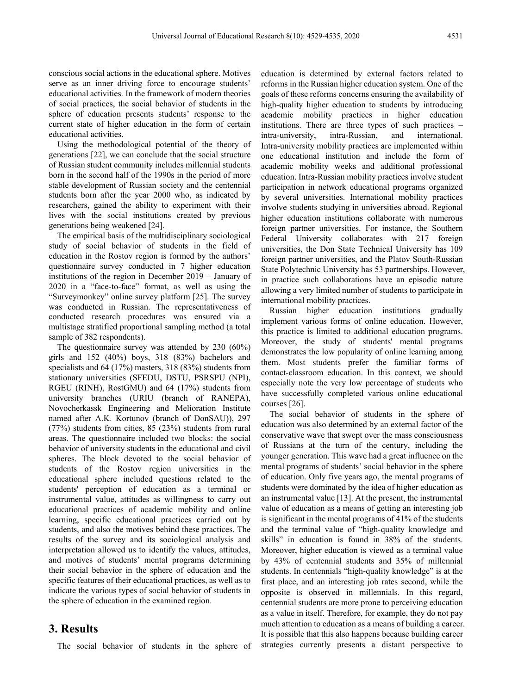conscious social actions in the educational sphere. Motives serve as an inner driving force to encourage students' educational activities. In the framework of modern theories of social practices, the social behavior of students in the sphere of education presents students' response to the current state of higher education in the form of certain educational activities.

Using the methodological potential of the theory of generations [22], we can conclude that the social structure of Russian student community includes millennial students born in the second half of the 1990s in the period of more stable development of Russian society and the centennial students born after the year 2000 who, as indicated by researchers, gained the ability to experiment with their lives with the social institutions created by previous generations being weakened [24].

The empirical basis of the multidisciplinary sociological study of social behavior of students in the field of education in the Rostov region is formed by the authors' questionnaire survey conducted in 7 higher education institutions of the region in December 2019 – January of 2020 in a "face-to-face" format, as well as using the "Surveymonkey" online survey platform [25]. The survey was conducted in Russian. The representativeness of conducted research procedures was ensured via a multistage stratified proportional sampling method (a total sample of 382 respondents).

The questionnaire survey was attended by 230 (60%) girls and 152 (40%) boys, 318 (83%) bachelors and specialists and 64 (17%) masters, 318 (83%) students from stationary universities (SFEDU, DSTU, PSRSPU (NPI), RGEU (RINH), RostGMU) and 64 (17%) students from university branches (URIU (branch of RANEPA), Novocherkassk Engineering and Melioration Institute named after A.K. Kortunov (branch of DonSAU)), 297 (77%) students from cities, 85 (23%) students from rural areas. The questionnaire included two blocks: the social behavior of university students in the educational and civil spheres. The block devoted to the social behavior of students of the Rostov region universities in the educational sphere included questions related to the students' perception of education as a terminal or instrumental value, attitudes as willingness to carry out educational practices of academic mobility and online learning, specific educational practices carried out by students, and also the motives behind these practices. The results of the survey and its sociological analysis and interpretation allowed us to identify the values, attitudes, and motives of students' mental programs determining their social behavior in the sphere of education and the specific features of their educational practices, as well as to indicate the various types of social behavior of students in the sphere of education in the examined region.

#### **3. Results**

The social behavior of students in the sphere of

education is determined by external factors related to reforms in the Russian higher education system. One of the goals of these reforms concerns ensuring the availability of high-quality higher education to students by introducing academic mobility practices in higher education institutions. There are three types of such practices – intra-university, intra-Russian, and international. Intra-university mobility practices are implemented within one educational institution and include the form of academic mobility weeks and additional professional education. Intra-Russian mobility practices involve student participation in network educational programs organized by several universities. International mobility practices involve students studying in universities abroad. Regional higher education institutions collaborate with numerous foreign partner universities. For instance, the Southern Federal University collaborates with 217 foreign universities, the Don State Technical University has 109 foreign partner universities, and the Platov South-Russian State Polytechnic University has 53 partnerships. However, in practice such collaborations have an episodic nature allowing a very limited number of students to participate in international mobility practices.

Russian higher education institutions gradually implement various forms of online education. However, this practice is limited to additional education programs. Moreover, the study of students' mental programs demonstrates the low popularity of online learning among them. Most students prefer the familiar forms of contact-classroom education. In this context, we should especially note the very low percentage of students who have successfully completed various online educational courses [26].

The social behavior of students in the sphere of education was also determined by an external factor of the conservative wave that swept over the mass consciousness of Russians at the turn of the century, including the younger generation. This wave had a great influence on the mental programs of students' social behavior in the sphere of education. Only five years ago, the mental programs of students were dominated by the idea of higher education as an instrumental value [13]. At the present, the instrumental value of education as a means of getting an interesting job is significant in the mental programs of 41% of the students and the terminal value of "high-quality knowledge and skills" in education is found in 38% of the students. Moreover, higher education is viewed as a terminal value by 43% of centennial students and 35% of millennial students. In centennials "high-quality knowledge" is at the first place, and an interesting job rates second, while the opposite is observed in millennials. In this regard, centennial students are more prone to perceiving education as a value in itself. Therefore, for example, they do not pay much attention to education as a means of building a career. It is possible that this also happens because building career strategies currently presents a distant perspective to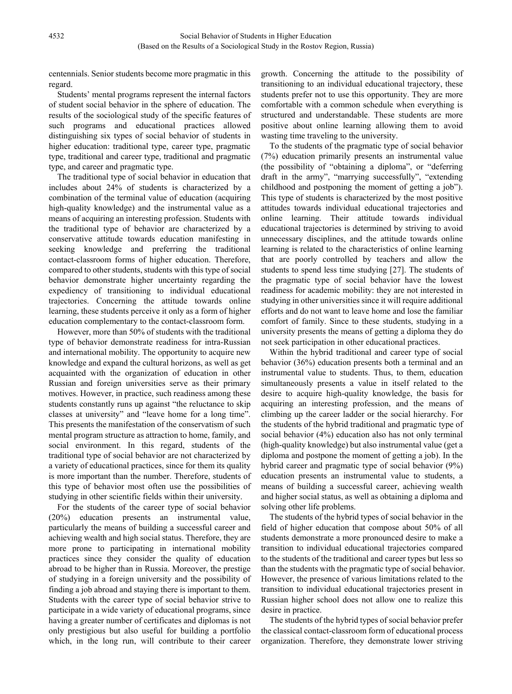centennials. Senior students become more pragmatic in this regard.

Students' mental programs represent the internal factors of student social behavior in the sphere of education. The results of the sociological study of the specific features of such programs and educational practices allowed distinguishing six types of social behavior of students in higher education: traditional type, career type, pragmatic type, traditional and career type, traditional and pragmatic type, and career and pragmatic type.

The traditional type of social behavior in education that includes about 24% of students is characterized by a combination of the terminal value of education (acquiring high-quality knowledge) and the instrumental value as a means of acquiring an interesting profession. Students with the traditional type of behavior are characterized by a conservative attitude towards education manifesting in seeking knowledge and preferring the traditional contact-classroom forms of higher education. Therefore, compared to other students, students with this type of social behavior demonstrate higher uncertainty regarding the expediency of transitioning to individual educational trajectories. Concerning the attitude towards online learning, these students perceive it only as a form of higher education complementary to the contact-classroom form.

However, more than 50% of students with the traditional type of behavior demonstrate readiness for intra-Russian and international mobility. The opportunity to acquire new knowledge and expand the cultural horizons, as well as get acquainted with the organization of education in other Russian and foreign universities serve as their primary motives. However, in practice, such readiness among these students constantly runs up against "the reluctance to skip classes at university" and "leave home for a long time". This presents the manifestation of the conservatism of such mental program structure as attraction to home, family, and social environment. In this regard, students of the traditional type of social behavior are not characterized by a variety of educational practices, since for them its quality is more important than the number. Therefore, students of this type of behavior most often use the possibilities of studying in other scientific fields within their university.

For the students of the career type of social behavior (20%) education presents an instrumental value, particularly the means of building a successful career and achieving wealth and high social status. Therefore, they are more prone to participating in international mobility practices since they consider the quality of education abroad to be higher than in Russia. Moreover, the prestige of studying in a foreign university and the possibility of finding a job abroad and staying there is important to them. Students with the career type of social behavior strive to participate in a wide variety of educational programs, since having a greater number of certificates and diplomas is not only prestigious but also useful for building a portfolio which, in the long run, will contribute to their career

growth. Concerning the attitude to the possibility of transitioning to an individual educational trajectory, these students prefer not to use this opportunity. They are more comfortable with a common schedule when everything is structured and understandable. These students are more positive about online learning allowing them to avoid wasting time traveling to the university.

To the students of the pragmatic type of social behavior (7%) education primarily presents an instrumental value (the possibility of "obtaining a diploma", or "deferring draft in the army", "marrying successfully", "extending childhood and postponing the moment of getting a job"). This type of students is characterized by the most positive attitudes towards individual educational trajectories and online learning. Their attitude towards individual educational trajectories is determined by striving to avoid unnecessary disciplines, and the attitude towards online learning is related to the characteristics of online learning that are poorly controlled by teachers and allow the students to spend less time studying [27]. The students of the pragmatic type of social behavior have the lowest readiness for academic mobility: they are not interested in studying in other universities since it will require additional efforts and do not want to leave home and lose the familiar comfort of family. Since to these students, studying in a university presents the means of getting a diploma they do not seek participation in other educational practices.

Within the hybrid traditional and career type of social behavior (36%) education presents both a terminal and an instrumental value to students. Thus, to them, education simultaneously presents a value in itself related to the desire to acquire high-quality knowledge, the basis for acquiring an interesting profession, and the means of climbing up the career ladder or the social hierarchy. For the students of the hybrid traditional and pragmatic type of social behavior (4%) education also has not only terminal (high-quality knowledge) but also instrumental value (get a diploma and postpone the moment of getting a job). In the hybrid career and pragmatic type of social behavior (9%) education presents an instrumental value to students, a means of building a successful career, achieving wealth and higher social status, as well as obtaining a diploma and solving other life problems.

The students of the hybrid types of social behavior in the field of higher education that compose about 50% of all students demonstrate a more pronounced desire to make a transition to individual educational trajectories compared to the students of the traditional and career types but less so than the students with the pragmatic type of social behavior. However, the presence of various limitations related to the transition to individual educational trajectories present in Russian higher school does not allow one to realize this desire in practice.

The students of the hybrid types of social behavior prefer the classical contact-classroom form of educational process organization. Therefore, they demonstrate lower striving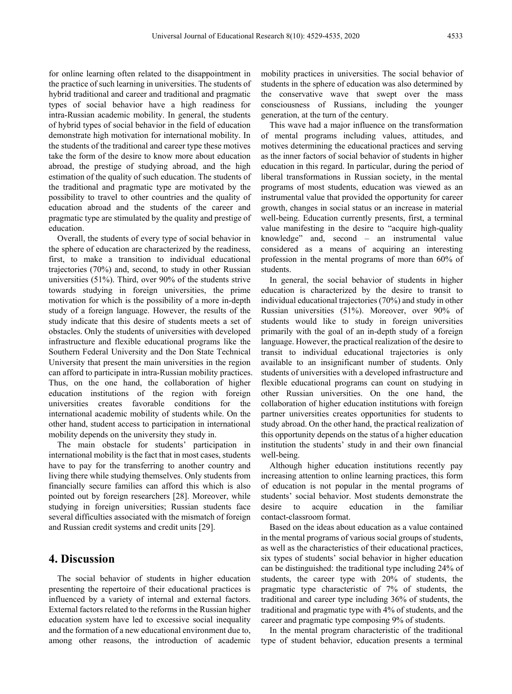for online learning often related to the disappointment in the practice of such learning in universities. The students of hybrid traditional and career and traditional and pragmatic types of social behavior have a high readiness for intra-Russian academic mobility. In general, the students of hybrid types of social behavior in the field of education demonstrate high motivation for international mobility. In the students of the traditional and career type these motives take the form of the desire to know more about education abroad, the prestige of studying abroad, and the high estimation of the quality of such education. The students of the traditional and pragmatic type are motivated by the possibility to travel to other countries and the quality of education abroad and the students of the career and pragmatic type are stimulated by the quality and prestige of education.

Overall, the students of every type of social behavior in the sphere of education are characterized by the readiness, first, to make a transition to individual educational trajectories (70%) and, second, to study in other Russian universities (51%). Third, over 90% of the students strive towards studying in foreign universities, the prime motivation for which is the possibility of a more in-depth study of a foreign language. However, the results of the study indicate that this desire of students meets a set of obstacles. Only the students of universities with developed infrastructure and flexible educational programs like the Southern Federal University and the Don State Technical University that present the main universities in the region can afford to participate in intra-Russian mobility practices. Thus, on the one hand, the collaboration of higher education institutions of the region with foreign universities creates favorable conditions for the international academic mobility of students while. On the other hand, student access to participation in international mobility depends on the university they study in.

The main obstacle for students' participation in international mobility is the fact that in most cases, students have to pay for the transferring to another country and living there while studying themselves. Only students from financially secure families can afford this which is also pointed out by foreign researchers [28]. Moreover, while studying in foreign universities; Russian students face several difficulties associated with the mismatch of foreign and Russian credit systems and credit units [29].

#### **4. Discussion**

The social behavior of students in higher education presenting the repertoire of their educational practices is influenced by a variety of internal and external factors. External factors related to the reforms in the Russian higher education system have led to excessive social inequality and the formation of a new educational environment due to, among other reasons, the introduction of academic mobility practices in universities. The social behavior of students in the sphere of education was also determined by the conservative wave that swept over the mass consciousness of Russians, including the younger generation, at the turn of the century.

This wave had a major influence on the transformation of mental programs including values, attitudes, and motives determining the educational practices and serving as the inner factors of social behavior of students in higher education in this regard. In particular, during the period of liberal transformations in Russian society, in the mental programs of most students, education was viewed as an instrumental value that provided the opportunity for career growth, changes in social status or an increase in material well-being. Education currently presents, first, a terminal value manifesting in the desire to "acquire high-quality knowledge" and, second – an instrumental value considered as a means of acquiring an interesting profession in the mental programs of more than 60% of students.

In general, the social behavior of students in higher education is characterized by the desire to transit to individual educational trajectories (70%) and study in other Russian universities (51%). Moreover, over 90% of students would like to study in foreign universities primarily with the goal of an in-depth study of a foreign language. However, the practical realization of the desire to transit to individual educational trajectories is only available to an insignificant number of students. Only students of universities with a developed infrastructure and flexible educational programs can count on studying in other Russian universities. On the one hand, the collaboration of higher education institutions with foreign partner universities creates opportunities for students to study abroad. On the other hand, the practical realization of this opportunity depends on the status of a higher education institution the students' study in and their own financial well-being.

Although higher education institutions recently pay increasing attention to online learning practices, this form of education is not popular in the mental programs of students' social behavior. Most students demonstrate the desire to acquire education in the familiar contact-classroom format.

Based on the ideas about education as a value contained in the mental programs of various social groups of students, as well as the characteristics of their educational practices, six types of students' social behavior in higher education can be distinguished: the traditional type including 24% of students, the career type with 20% of students, the pragmatic type characteristic of 7% of students, the traditional and career type including 36% of students, the traditional and pragmatic type with 4% of students, and the career and pragmatic type composing 9% of students.

In the mental program characteristic of the traditional type of student behavior, education presents a terminal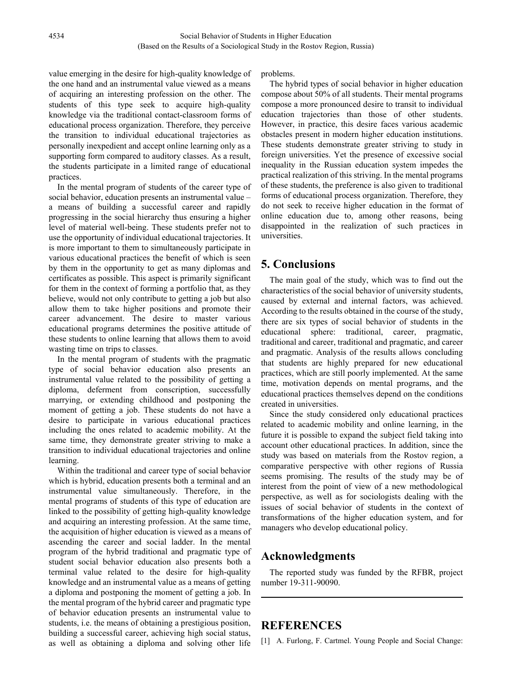value emerging in the desire for high-quality knowledge of the one hand and an instrumental value viewed as a means of acquiring an interesting profession on the other. The students of this type seek to acquire high-quality knowledge via the traditional contact-classroom forms of educational process organization. Therefore, they perceive the transition to individual educational trajectories as personally inexpedient and accept online learning only as a supporting form compared to auditory classes. As a result, the students participate in a limited range of educational practices.

In the mental program of students of the career type of social behavior, education presents an instrumental value – a means of building a successful career and rapidly progressing in the social hierarchy thus ensuring a higher level of material well-being. These students prefer not to use the opportunity of individual educational trajectories. It is more important to them to simultaneously participate in various educational practices the benefit of which is seen by them in the opportunity to get as many diplomas and certificates as possible. This aspect is primarily significant for them in the context of forming a portfolio that, as they believe, would not only contribute to getting a job but also allow them to take higher positions and promote their career advancement. The desire to master various educational programs determines the positive attitude of these students to online learning that allows them to avoid wasting time on trips to classes.

In the mental program of students with the pragmatic type of social behavior education also presents an instrumental value related to the possibility of getting a diploma, deferment from conscription, successfully marrying, or extending childhood and postponing the moment of getting a job. These students do not have a desire to participate in various educational practices including the ones related to academic mobility. At the same time, they demonstrate greater striving to make a transition to individual educational trajectories and online learning.

Within the traditional and career type of social behavior which is hybrid, education presents both a terminal and an instrumental value simultaneously. Therefore, in the mental programs of students of this type of education are linked to the possibility of getting high-quality knowledge and acquiring an interesting profession. At the same time, the acquisition of higher education is viewed as a means of ascending the career and social ladder. In the mental program of the hybrid traditional and pragmatic type of student social behavior education also presents both a terminal value related to the desire for high-quality knowledge and an instrumental value as a means of getting a diploma and postponing the moment of getting a job. In the mental program of the hybrid career and pragmatic type of behavior education presents an instrumental value to students, i.e. the means of obtaining a prestigious position, building a successful career, achieving high social status, as well as obtaining a diploma and solving other life

problems.

The hybrid types of social behavior in higher education compose about 50% of all students. Their mental programs compose a more pronounced desire to transit to individual education trajectories than those of other students. However, in practice, this desire faces various academic obstacles present in modern higher education institutions. These students demonstrate greater striving to study in foreign universities. Yet the presence of excessive social inequality in the Russian education system impedes the practical realization of this striving. In the mental programs of these students, the preference is also given to traditional forms of educational process organization. Therefore, they do not seek to receive higher education in the format of online education due to, among other reasons, being disappointed in the realization of such practices in universities.

## **5. Conclusions**

The main goal of the study, which was to find out the characteristics of the social behavior of university students, caused by external and internal factors, was achieved. According to the results obtained in the course of the study, there are six types of social behavior of students in the educational sphere: traditional, career, pragmatic, traditional and career, traditional and pragmatic, and career and pragmatic. Analysis of the results allows concluding that students are highly prepared for new educational practices, which are still poorly implemented. At the same time, motivation depends on mental programs, and the educational practices themselves depend on the conditions created in universities.

Since the study considered only educational practices related to academic mobility and online learning, in the future it is possible to expand the subject field taking into account other educational practices. In addition, since the study was based on materials from the Rostov region, a comparative perspective with other regions of Russia seems promising. The results of the study may be of interest from the point of view of a new methodological perspective, as well as for sociologists dealing with the issues of social behavior of students in the context of transformations of the higher education system, and for managers who develop educational policy.

## **Acknowledgments**

The reported study was funded by the RFBR, project number 19-311-90090.

## **REFERENCES**

[1] A. Furlong, F. Cartmel. Young People and Social Change: